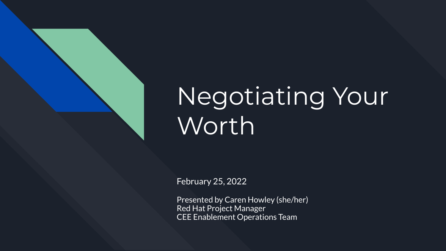

# Negotiating Your **Worth**

February 25, 2022

Presented by Caren Howley (she/her) Red Hat Project Manager CEE Enablement Operations Team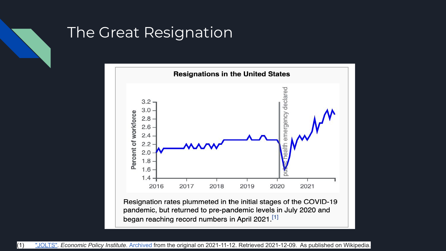

## The Great Resignation

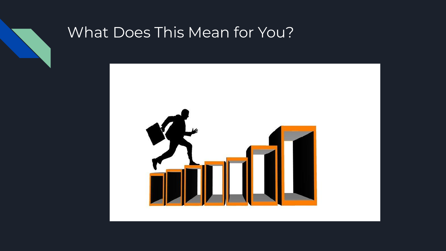

### What Does This Mean for You?

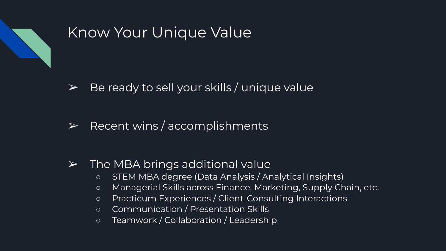

## Know Your Unique Value

- $\triangleright$  Be ready to sell your skills / unique value
- $\triangleright$  Recent wins / accomplishments

#### $\triangleright$  The MBA brings additional value

- STEM MBA degree (Data Analysis / Analytical Insights)
- Managerial Skills across Finance, Marketing, Supply Chain, etc.
- Practicum Experiences / Client-Consulting Interactions
- Communication / Presentation Skills
- Teamwork / Collaboration / Leadership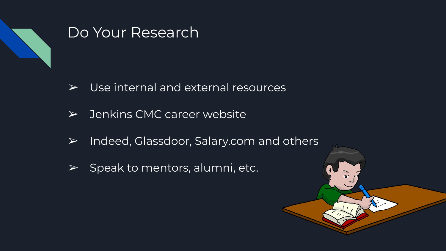

#### Do Your Research

- $\triangleright$  Use internal and external resources
- ➢ Jenkins CMC career website
- ➢ Indeed, Glassdoor, Salary.com and others
- $\triangleright$  Speak to mentors, alumni, etc.

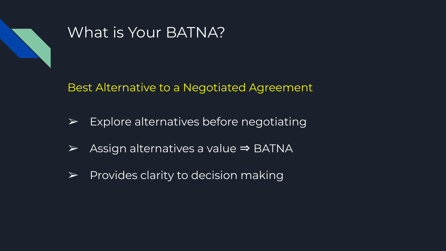

## What is Your BATNA?

Best Alternative to a Negotiated Agreement

- $\triangleright$  Explore alternatives before negotiating
- ➢ Assign alternatives a value ⇒ BATNA
- $\triangleright$  Provides clarity to decision making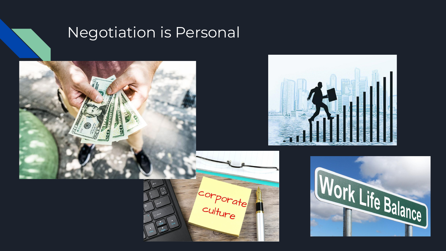

# Negotiation is Personal







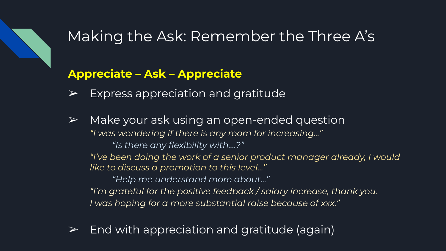

## Making the Ask: Remember the Three A's

#### **Appreciate – Ask – Appreciate**

- Express appreciation and gratitude
- $\triangleright$  Make your ask using an open-ended question *"I was wondering if there is any room for increasing…" "Is there any flexibility with….?"*

*"I've been doing the work of a senior product manager already, I would like to discuss a promotion to this level…"*

*"Help me understand more about…" "I'm grateful for the positive feedback / salary increase, thank you. I was hoping for a more substantial raise because of xxx."*

 $\triangleright$  End with appreciation and gratitude (again)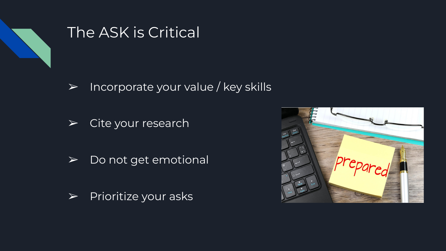

### The ASK is Critical

- $\triangleright$  Incorporate your value / key skills
- $\triangleright$  Cite your research
- ➢ Do not get emotional
- $\blacktriangleright$  Prioritize your asks

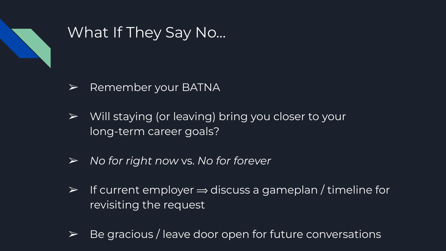

## What If They Say No…

- $\triangleright$  Remember your BATNA
- $\triangleright$  Will staying (or leaving) bring you closer to your long-term career goals?
- ➢ *No for right now* vs. *No for forever*
- $\triangleright$  If current employer  $\Rightarrow$  discuss a gameplan / timeline for revisiting the request
- $\triangleright$  Be gracious / leave door open for future conversations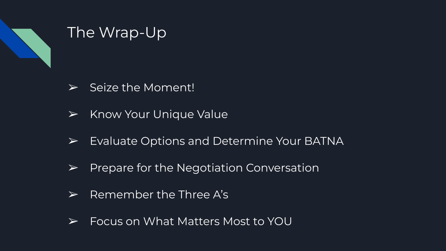

## The Wrap-Up

- $\triangleright$  Seize the Moment!
- $\triangleright$  Know Your Unique Value
- $\triangleright$  Evaluate Options and Determine Your BATNA
- $\triangleright$  Prepare for the Negotiation Conversation
- $\triangleright$  Remember the Three A's
- ➢ Focus on What Matters Most to YOU